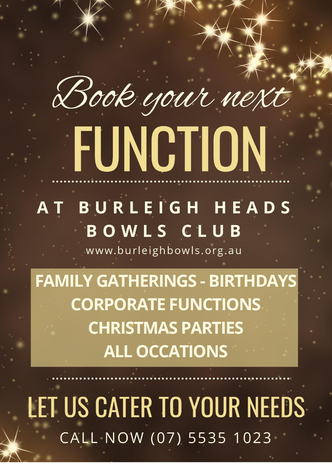# Book your next FUNCTION

# BURLEIGH HEADS AT BOWLS CLUB

www.burleighbowls.org.au

**FAMILY GATHERINGS - BIRTHDAYS CORPORATE FUNCTIONS CHRISTMAS PARTIES ALL OCCATIONS** 

LET US CATER TO YOUR NEEDS CALL NOW (07) 5535 1023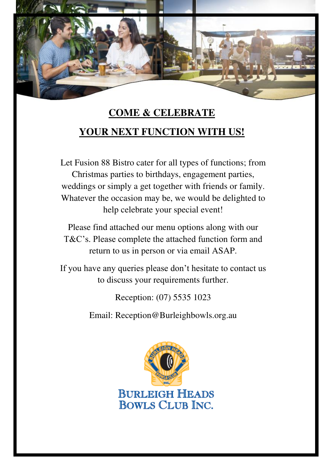

# **COME & CELEBRATE YOUR NEXT FUNCTION WITH US!**

Let Fusion 88 Bistro cater for all types of functions; from Christmas parties to birthdays, engagement parties, weddings or simply a get together with friends or family. Whatever the occasion may be, we would be delighted to help celebrate your special event!

Please find attached our menu options along with our T&C's. Please complete the attached function form and return to us in person or via email ASAP.

If you have any queries please don't hesitate to contact us to discuss your requirements further.

Reception: (07) 5535 1023

Email: Reception@Burleighbowls.org.au

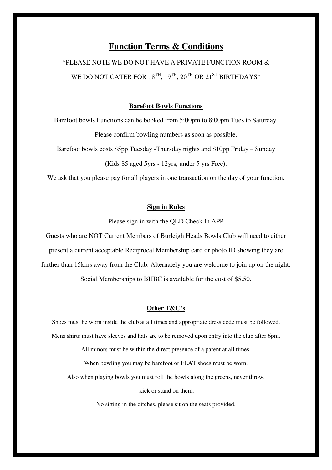# **Function Terms & Conditions**

\*PLEASE NOTE WE DO NOT HAVE A PRIVATE FUNCTION ROOM & WE DO NOT CATER FOR  $18^{TH}$ ,  $19^{TH}$ ,  $20^{TH}$  OR  $21^{ST}$  BIRTHDAYS\*

#### **Barefoot Bowls Functions**

Barefoot bowls Functions can be booked from 5:00pm to 8:00pm Tues to Saturday.

Please confirm bowling numbers as soon as possible.

Barefoot bowls costs \$5pp Tuesday -Thursday nights and \$10pp Friday – Sunday

(Kids \$5 aged 5yrs - 12yrs, under 5 yrs Free).

We ask that you please pay for all players in one transaction on the day of your function.

#### **Sign in Rules**

Please sign in with the QLD Check In APP

Guests who are NOT Current Members of Burleigh Heads Bowls Club will need to either present a current acceptable Reciprocal Membership card or photo ID showing they are further than 15kms away from the Club. Alternately you are welcome to join up on the night.

Social Memberships to BHBC is available for the cost of \$5.50.

#### **Other T&C's**

Shoes must be worn inside the club at all times and appropriate dress code must be followed. Mens shirts must have sleeves and hats are to be removed upon entry into the club after 6pm.

All minors must be within the direct presence of a parent at all times.

When bowling you may be barefoot or FLAT shoes must be worn.

Also when playing bowls you must roll the bowls along the greens, never throw,

kick or stand on them.

No sitting in the ditches, please sit on the seats provided.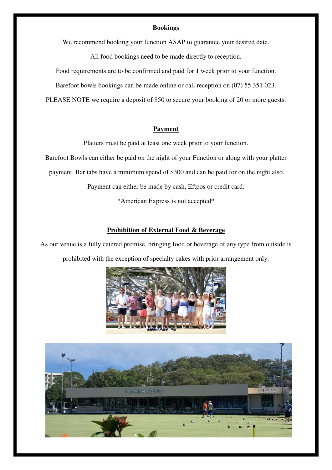#### **Bookings**

We recommend booking your function ASAP to guarantee your desired date.

All food bookings need to be made directly to reception.

Food requirements are to be confirmed and paid for 1 week prior to your function.

Barefoot bowls bookings can be made online or call reception on (07) 55 351 023.

PLEASE NOTE we require a deposit of \$50 to secure your booking of 20 or more guests.

#### **Payment**

Platters must be paid at least one week prior to your function.

Barefoot Bowls can either be paid on the night of your Function or along with your platter

payment. Bar tabs have a minimum spend of \$300 and can be paid for on the night also.

Payment can either be made by cash, Eftpos or credit card.

\*American Express is not accepted\*

#### **Prohibition of External Food & Beverage**

As our venue is a fully catered premise, bringing food or beverage of any type from outside is prohibited with the exception of specialty cakes with prior arrangement only.



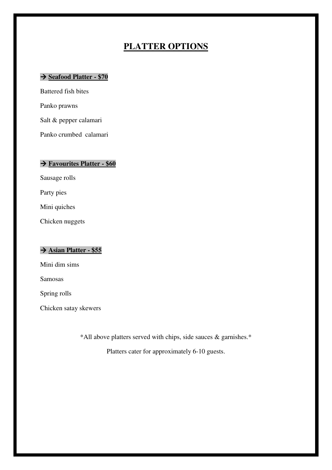# **PLATTER OPTIONS**

## **Seafood Platter - \$70**

Battered fish bites Panko prawns Salt & pepper calamari

Panko crumbed calamari

## **Favourites Platter - \$60**

Sausage rolls

Party pies

Mini quiches

Chicken nuggets

# **Asian Platter - \$55**

Mini dim sims

Samosas

Spring rolls

Chicken satay skewers

\*All above platters served with chips, side sauces & garnishes.\*

Platters cater for approximately 6-10 guests.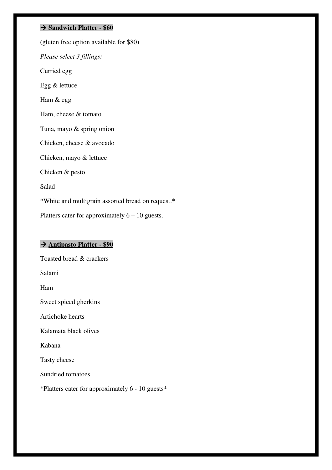#### **Sandwich Platter - \$60**

(gluten free option available for \$80) *Please select 3 fillings:*  Curried egg Egg & lettuce Ham & egg Ham, cheese & tomato Tuna, mayo & spring onion Chicken, cheese & avocado Chicken, mayo & lettuce Chicken & pesto Salad \*White and multigrain assorted bread on request.\* Platters cater for approximately  $6 - 10$  guests.

# **Antipasto Platter - \$90**

Toasted bread & crackers Salami Ham Sweet spiced gherkins Artichoke hearts Kalamata black olives Kabana Tasty cheese Sundried tomatoes \*Platters cater for approximately 6 - 10 guests\*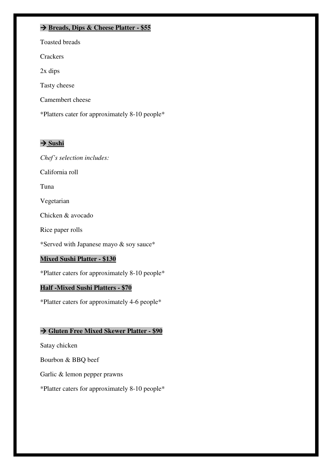## **Breads, Dips & Cheese Platter - \$55**

Toasted breads

**Crackers** 

2x dips

Tasty cheese

Camembert cheese

\*Platters cater for approximately 8-10 people\*

## $\rightarrow$  Sushi

*Chef's selection includes:* 

California roll

Tuna

Vegetarian

Chicken & avocado

Rice paper rolls

\*Served with Japanese mayo & soy sauce\*

#### **Mixed Sushi Platter - \$130**

\*Platter caters for approximately 8-10 people\*

#### **Half -Mixed Sushi Platters - \$70**

\*Platter caters for approximately 4-6 people\*

# **Gluten Free Mixed Skewer Platter - \$90**

Satay chicken

Bourbon & BBQ beef

Garlic & lemon pepper prawns

\*Platter caters for approximately 8-10 people\*